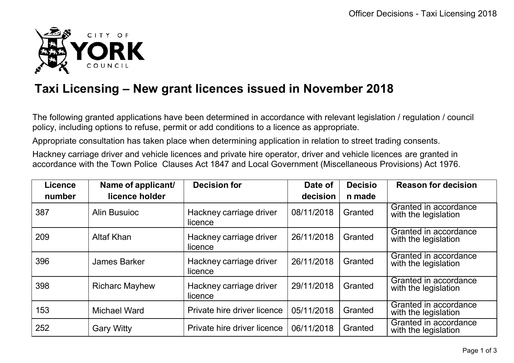

## **Taxi Licensing – New grant licences issued in November 2018**

The following granted applications have been determined in accordance with relevant legislation / regulation / council policy, including options to refuse, permit or add conditions to a licence as appropriate.

Appropriate consultation has taken place when determining application in relation to street trading consents.

Hackney carriage driver and vehicle licences and private hire operator, driver and vehicle licences are granted in accordance with the Town Police Clauses Act 1847 and Local Government (Miscellaneous Provisions) Act 1976.

| <b>Licence</b><br>number | Name of applicant/<br>licence holder | <b>Decision for</b>                | Date of<br>decision | <b>Decisio</b><br>n made | <b>Reason for decision</b>                    |
|--------------------------|--------------------------------------|------------------------------------|---------------------|--------------------------|-----------------------------------------------|
|                          |                                      |                                    |                     |                          |                                               |
| 387                      | Alin Busuioc                         | Hackney carriage driver<br>licence | 08/11/2018          | Granted                  | Granted in accordance<br>with the legislation |
| 209                      | Altaf Khan                           | Hackney carriage driver<br>licence | 26/11/2018          | Granted                  | Granted in accordance<br>with the legislation |
| 396                      | <b>James Barker</b>                  | Hackney carriage driver<br>licence | 26/11/2018          | Granted                  | Granted in accordance<br>with the legislation |
| 398                      | <b>Richarc Mayhew</b>                | Hackney carriage driver<br>licence | 29/11/2018          | Granted                  | Granted in accordance<br>with the legislation |
| 153                      | <b>Michael Ward</b>                  | Private hire driver licence        | 05/11/2018          | Granted                  | Granted in accordance<br>with the legislation |
| 252                      | <b>Gary Witty</b>                    | Private hire driver licence        | 06/11/2018          | Granted                  | Granted in accordance<br>with the legislation |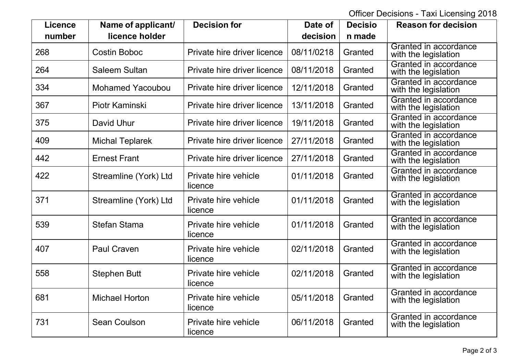Officer Decisions - Taxi Licensing 2018

| <b>Licence</b> | Name of applicant/      | <b>Decision for</b>             | Date of    | <b>Decisio</b> | <b>Reason for decision</b>                    |
|----------------|-------------------------|---------------------------------|------------|----------------|-----------------------------------------------|
| number         | licence holder          |                                 | decision   | n made         |                                               |
| 268            | <b>Costin Boboc</b>     | Private hire driver licence     | 08/11/0218 | Granted        | Granted in accordance<br>with the legislation |
| 264            | <b>Saleem Sultan</b>    | Private hire driver licence     | 08/11/2018 | Granted        | Granted in accordance<br>with the legislation |
| 334            | <b>Mohamed Yacoubou</b> | Private hire driver licence     | 12/11/2018 | Granted        | Granted in accordance<br>with the legislation |
| 367            | Piotr Kaminski          | Private hire driver licence     | 13/11/2018 | Granted        | Granted in accordance<br>with the legislation |
| 375            | David Uhur              | Private hire driver licence     | 19/11/2018 | Granted        | Granted in accordance<br>with the legislation |
| 409            | <b>Michal Teplarek</b>  | Private hire driver licence     | 27/11/2018 | Granted        | Granted in accordance<br>with the legislation |
| 442            | <b>Ernest Frant</b>     | Private hire driver licence     | 27/11/2018 | Granted        | Granted in accordance<br>with the legislation |
| 422            | Streamline (York) Ltd   | Private hire vehicle<br>licence | 01/11/2018 | Granted        | Granted in accordance<br>with the legislation |
| 371            | Streamline (York) Ltd   | Private hire vehicle<br>licence | 01/11/2018 | Granted        | Granted in accordance<br>with the legislation |
| 539            | <b>Stefan Stama</b>     | Private hire vehicle<br>licence | 01/11/2018 | Granted        | Granted in accordance<br>with the legislation |
| 407            | <b>Paul Craven</b>      | Private hire vehicle<br>licence | 02/11/2018 | Granted        | Granted in accordance<br>with the legislation |
| 558            | <b>Stephen Butt</b>     | Private hire vehicle<br>licence | 02/11/2018 | Granted        | Granted in accordance<br>with the legislation |
| 681            | <b>Michael Horton</b>   | Private hire vehicle<br>licence | 05/11/2018 | Granted        | Granted in accordance<br>with the legislation |
| 731            | <b>Sean Coulson</b>     | Private hire vehicle<br>licence | 06/11/2018 | Granted        | Granted in accordance<br>with the legislation |